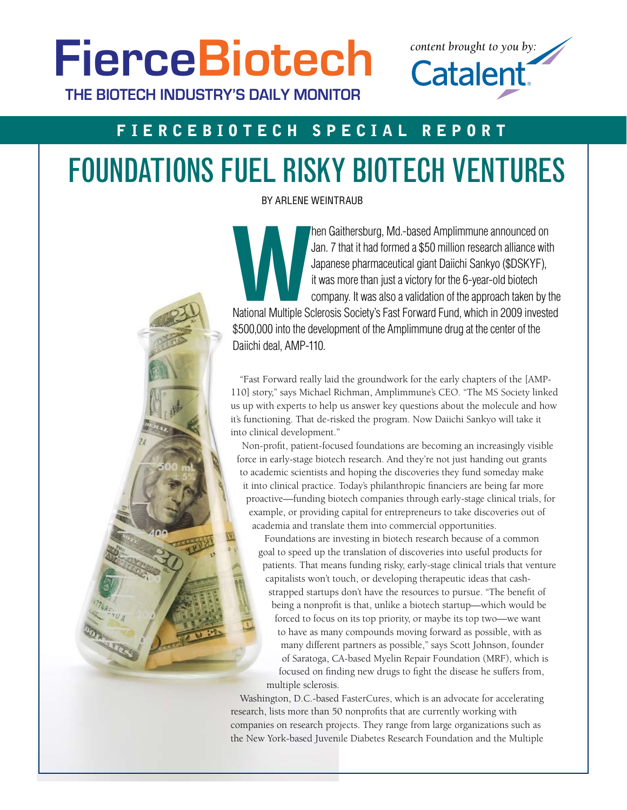**FierceBiotech THE BIOTECH INDUSTRY'S DAILY MONITOR**

# FierceBiotech Special R eport

# Foundations fuel risky biotech ventures

By Arlene Weintraub

**Manuson Chain Control Control Control Control Control Control Company.** It was more than just a victory for the 6-year-old biotech company. It was also a validation of the approach taken by the National Multiple Sclerosis Jan. 7 that it had formed a \$50 million research alliance with Japanese pharmaceutical giant Daiichi Sankyo (\$DSKYF), it was more than just a victory for the 6-year-old biotech company. It was also a validation of the approach taken by the \$500,000 into the development of the Amplimmune drug at the center of the Daiichi deal, AMP-110.

*content brought to you by:*

**Catalent** 

"Fast Forward really laid the groundwork for the early chapters of the [AMP-110] story," says Michael Richman, Amplimmune's CEO. "The MS Society linked us up with experts to help us answer key questions about the molecule and how it's functioning. That de-risked the program. Now Daiichi Sankyo will take it into clinical development."

Non-profit, patient-focused foundations are becoming an increasingly visible force in early-stage biotech research. And they're not just handing out grants to academic scientists and hoping the discoveries they fund someday make it into clinical practice. Today's philanthropic financiers are being far more proactive—funding biotech companies through early-stage clinical trials, for example, or providing capital for entrepreneurs to take discoveries out of academia and translate them into commercial opportunities.

Foundations are investing in biotech research because of a common goal to speed up the translation of discoveries into useful products for patients. That means funding risky, early-stage clinical trials that venture capitalists won't touch, or developing therapeutic ideas that cashstrapped startups don't have the resources to pursue. "The benefit of being a nonprofit is that, unlike a biotech startup—which would be forced to focus on its top priority, or maybe its top two—we want to have as many compounds moving forward as possible, with as many different partners as possible," says Scott Johnson, founder of Saratoga, CA-based Myelin Repair Foundation (MRF), which is focused on finding new drugs to fight the disease he suffers from, multiple sclerosis.

Washington, D.C.-based FasterCures, which is an advocate for accelerating research, lists more than 50 nonprofits that are currently working with companies on research projects. They range from large organizations such as the New York-based Juvenile Diabetes Research Foundation and the Multiple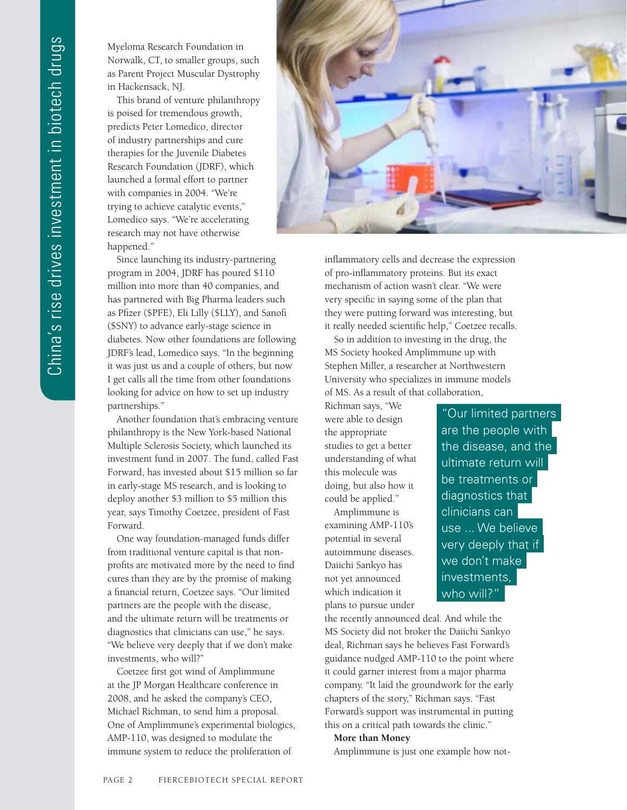Myeloma Research Foundation in Norwalk, CT, to smaller groups, such as Parent Project Muscular Dystrophy in Hackensack, NJ.

This brand of venture philanthropy is poised for tremendous growth, predicts Peter Lomedico, director of industry partnerships and cure therapies for the Juvenile Diabetes Research Foundation (JDRF), which launched a formal effort to partner with companies in 2004. "We're trying to achieve catalytic events," Lomedico says. "We're accelerating research may not have otherwise happened."

Since launching its industry-partnering program in 2004, JDRF has poured \$110 million into more than 40 companies, and has partnered with Big Pharma leaders such as Pfizer (\$PFE), Eli Lilly (\$LLY), and Sanofi (\$SNY) to advance early-stage science in diabetes. Now other foundations are following JDRF's lead, Lomedico says. "In the beginning it was just us and a couple of others, but now I get calls all the time from other foundations looking for advice on how to set up industry partnerships."

Another foundation that's embracing venture philanthropy is the New York-based National Multiple Sclerosis Society, which launched its investment fund in 2007. The fund, called Fast Forward, has invested about \$15 million so far in early-stage MS research, and is looking to deploy another \$3 million to \$5 million this year, says Timothy Coetzee, president of Fast Forward.

One way foundation-managed funds differ from traditional venture capital is that nonprofits are motivated more by the need to find cures than they are by the promise of making a financial return, Coetzee says. "Our limited partners are the people with the disease, and the ultimate return will be treatments or diagnostics that clinicians can use," he says. "We believe very deeply that if we don't make investments, who will?"

Coetzee first got wind of Amplimmune at the JP Morgan Healthcare conference in 2008, and he asked the company's CEO, Michael Richman, to send him a proposal. One of Amplimmune's experimental biologics, AMP-110, was designed to modulate the immune system to reduce the proliferation of



inflammatory cells and decrease the expression of pro-inflammatory proteins. But its exact mechanism of action wasn't clear. "We were very specific in saying some of the plan that they were putting forward was interesting, but it really needed scientific help," Coetzee recalls.

So in addition to investing in the drug, the MS Society hooked Amplimmune up with Stephen Miller, a researcher at Northwestern University who specializes in immune models of MS. As a result of that collaboration,

Richman says, "We were able to design the appropriate studies to get a better understanding of what this molecule was doing, but also how it could be applied."

Amplimmune is examining AMP-110's potential in several autoimmune diseases. Daiichi Sankyo has not yet announced which indication it plans to pursue under

"Our limited partners are the people with the disease, and the ultimate return will be treatments or diagnostics that clinicians can use ... We believe very deeply that if we don't make investments, who will?"

the recently announced deal. And while the MS Society did not broker the Daiichi Sankyo deal, Richman says he believes Fast Forward's guidance nudged AMP-110 to the point where it could garner interest from a major pharma company. "It laid the groundwork for the early chapters of the story," Richman says. "Fast Forward's support was instrumental in putting this on a critical path towards the clinic."

#### **More than Money**

Amplimmune is just one example how not-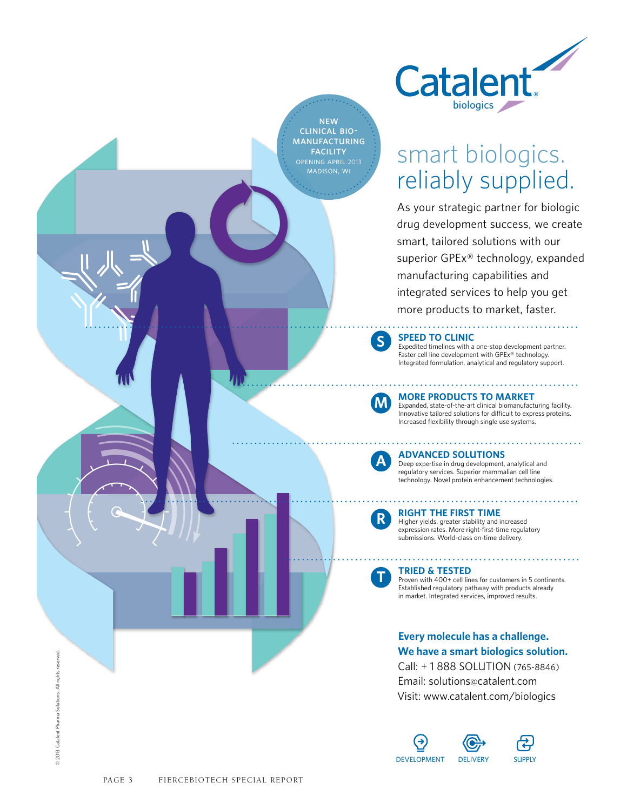

# smart biologics. reliably supplied.

As your strategic partner for biologic drug development success, we create smart, tailored solutions with our superior GPEx® technology, expanded manufacturing capabilities and integrated services to help you get more products to market, faster.



Expedited timelines with a one-stop development partner. Faster cell line development with GPEx<sup>®</sup> technology. Integrated formulation, analytical and regulatory support.



**s**

**NEW** clinical biomanufacturing **FACILITY** 

**morE products to markEt**

Expanded, state-of-the-art clinical biomanufacturing facility. Innovative tailored solutions for difficult to express proteins. Increased flexibility through single use systems.



#### **advancEd solutions**

Deep expertise in drug development, analytical and regulatory services. Superior mammalian cell line technology. Novel protein enhancement technologies.



**r**

**t**

**right thE first timE**

Higher yields, greater stability and increased expression rates. More right-first-time regulatory submissions. World-class on-time delivery.

## **triEd & tEstEd**

Proven with 400+ cell lines for customers in 5 continents. Established regulatory pathway with products already in market. Integrated services, improved results.

## **Every molecule has a challenge. We have a smart biologics solution.**

Call: + 1 888 SOLUTION (765-8846) Email: solutions@catalent.com Visit: www.catalent.com/biologics



 $\oslash$  2013 Catalent Pharma Solutions. All rights reserved.

2013 Catalent Pharma Solutions. All rights reserved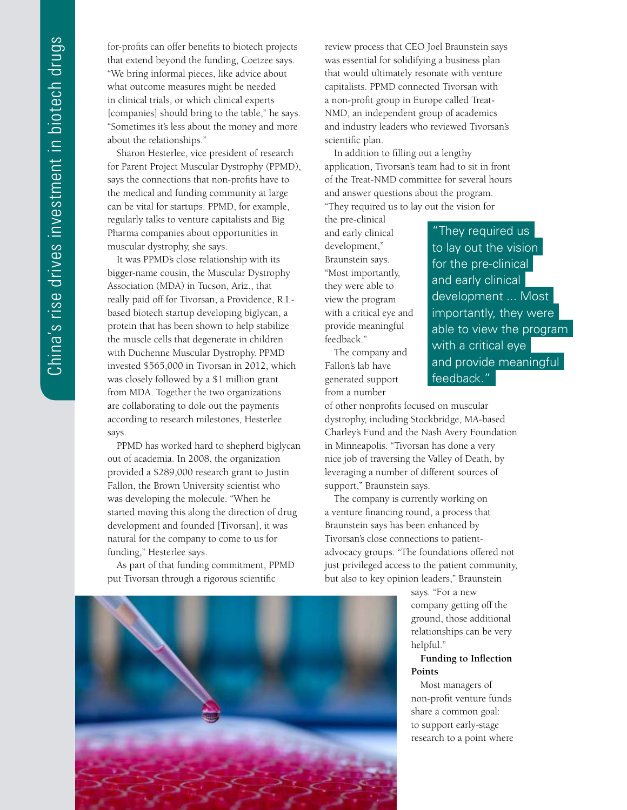for-profits can offer benefits to biotech projects that extend beyond the funding, Coetzee says. "We bring informal pieces, like advice about what outcome measures might be needed in clinical trials, or which clinical experts [companies] should bring to the table," he says. "Sometimes it's less about the money and more about the relationships."

Sharon Hesterlee, vice president of research for Parent Project Muscular Dystrophy (PPMD), says the connections that non-profits have to the medical and funding community at large can be vital for startups. PPMD, for example, regularly talks to venture capitalists and Big Pharma companies about opportunities in muscular dystrophy, she says.

It was PPMD's close relationship with its bigger-name cousin, the Muscular Dystrophy Association (MDA) in Tucson, Ariz., that really paid off for Tivorsan, a Providence, R.I. based biotech startup developing biglycan, a protein that has been shown to help stabilize the muscle cells that degenerate in children with Duchenne Muscular Dystrophy. PPMD invested \$565,000 in Tivorsan in 2012, which was closely followed by a \$1 million grant from MDA. Together the two organizations are collaborating to dole out the payments according to research milestones, Hesterlee says.

PPMD has worked hard to shepherd biglycan out of academia. In 2008, the organization provided a \$289,000 research grant to Justin Fallon, the Brown University scientist who was developing the molecule. "When he started moving this along the direction of drug development and founded [Tivorsan], it was natural for the company to come to us for funding," Hesterlee says.

As part of that funding commitment, PPMD put Tivorsan through a rigorous scientific

review process that CEO Joel Braunstein says was essential for solidifying a business plan that would ultimately resonate with venture capitalists. PPMD connected Tivorsan with a non-profit group in Europe called Treat-NMD, an independent group of academics and industry leaders who reviewed Tivorsan's scientific plan.

In addition to filling out a lengthy application, Tivorsan's team had to sit in front of the Treat-NMD committee for several hours and answer questions about the program. "They required us to lay out the vision for

the pre-clinical and early clinical development," Braunstein says. "Most importantly, they were able to view the program with a critical eye and provide meaningful feedback."

The company and Fallon's lab have generated support from a number

"They required us to lay out the vision for the pre-clinical and early clinical development ... Most importantly, they were able to view the program with a critical eye and provide meaningful feedback."

of other nonprofits focused on muscular dystrophy, including Stockbridge, MA-based Charley's Fund and the Nash Avery Foundation in Minneapolis. "Tivorsan has done a very nice job of traversing the Valley of Death, by leveraging a number of different sources of support," Braunstein says.

The company is currently working on a venture financing round, a process that Braunstein says has been enhanced by Tivorsan's close connections to patientadvocacy groups. "The foundations offered not just privileged access to the patient community, but also to key opinion leaders," Braunstein

> says. "For a new company getting off the ground, those additional relationships can be very helpful."

### **Funding to Inflection Points**

Most managers of non-profit venture funds share a common goal: to support early-stage research to a point where

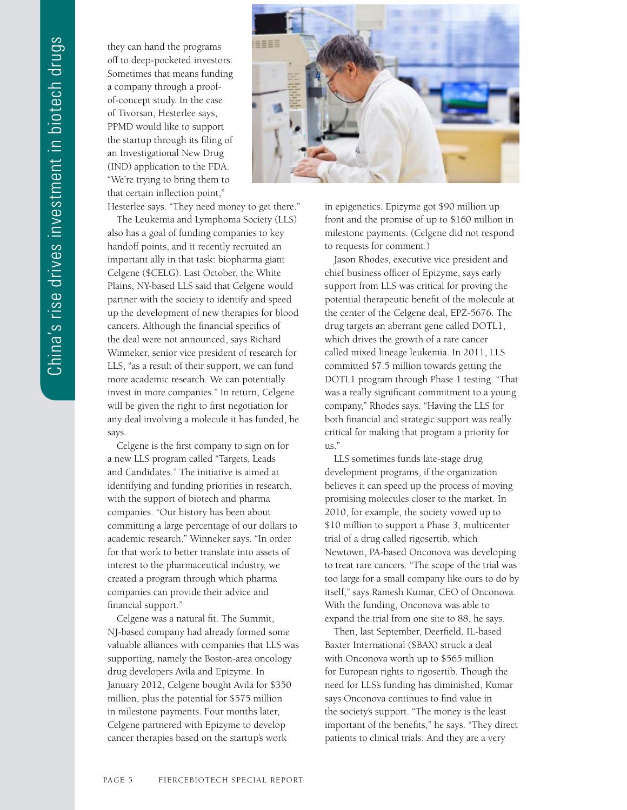they can hand the programs off to deep-pocketed investors. Sometimes that means funding a company through a proofof-concept study. In the case of Tivorsan, Hesterlee says, PPMD would like to support the startup through its filing of an Investigational New Drug (IND) application to the FDA. "We're trying to bring them to that certain inflection point,"

Hesterlee says. "They need money to get there."

The Leukemia and Lymphoma Society (LLS) also has a goal of funding companies to key handoff points, and it recently recruited an important ally in that task: biopharma giant Celgene (\$CELG). Last October, the White Plains, NY-based LLS said that Celgene would partner with the society to identify and speed up the development of new therapies for blood cancers. Although the financial specifics of the deal were not announced, says Richard Winneker, senior vice president of research for LLS, "as a result of their support, we can fund more academic research. We can potentially invest in more companies." In return, Celgene will be given the right to first negotiation for any deal involving a molecule it has funded, he says.

Celgene is the first company to sign on for a new LLS program called "Targets, Leads and Candidates." The initiative is aimed at identifying and funding priorities in research, with the support of biotech and pharma companies. "Our history has been about committing a large percentage of our dollars to academic research," Winneker says. "In order for that work to better translate into assets of interest to the pharmaceutical industry, we created a program through which pharma companies can provide their advice and financial support."

Celgene was a natural fit. The Summit, NJ-based company had already formed some valuable alliances with companies that LLS was supporting, namely the Boston-area oncology drug developers Avila and Epizyme. In January 2012, Celgene bought Avila for \$350 million, plus the potential for \$575 million in milestone payments. Four months later, Celgene partnered with Epizyme to develop cancer therapies based on the startup's work



in epigenetics. Epizyme got \$90 million up front and the promise of up to \$160 million in milestone payments. (Celgene did not respond to requests for comment.)

Jason Rhodes, executive vice president and chief business officer of Epizyme, says early support from LLS was critical for proving the potential therapeutic benefit of the molecule at the center of the Celgene deal, EPZ-5676. The drug targets an aberrant gene called DOTL1, which drives the growth of a rare cancer called mixed lineage leukemia. In 2011, LLS committed \$7.5 million towards getting the DOTL1 program through Phase 1 testing. "That was a really significant commitment to a young company," Rhodes says. "Having the LLS for both financial and strategic support was really critical for making that program a priority for us."

LLS sometimes funds late-stage drug development programs, if the organization believes it can speed up the process of moving promising molecules closer to the market. In 2010, for example, the society vowed up to \$10 million to support a Phase 3, multicenter trial of a drug called rigosertib, which Newtown, PA-based Onconova was developing to treat rare cancers. "The scope of the trial was too large for a small company like ours to do by itself," says Ramesh Kumar, CEO of Onconova. With the funding, Onconova was able to expand the trial from one site to 88, he says.

Then, last September, Deerfield, IL-based Baxter International (\$BAX) struck a deal with Onconova worth up to \$565 million for European rights to rigosertib. Though the need for LLS's funding has diminished, Kumar says Onconova continues to find value in the society's support. "The money is the least important of the benefits," he says. "They direct patients to clinical trials. And they are a very